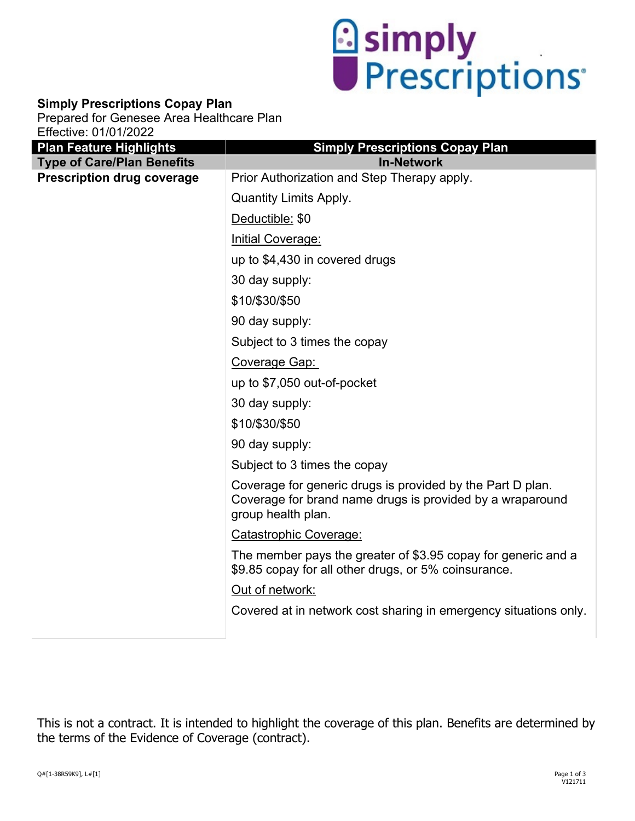

## **Simply Prescriptions Copay Plan**

Prepared for Genesee Area Healthcare Plan Effective: 01/01/2022

| <b>Plan Feature Highlights</b>    | <b>Simply Prescriptions Copay Plan</b>                                                                                                        |
|-----------------------------------|-----------------------------------------------------------------------------------------------------------------------------------------------|
| <b>Type of Care/Plan Benefits</b> | <b>In-Network</b>                                                                                                                             |
| <b>Prescription drug coverage</b> | Prior Authorization and Step Therapy apply.                                                                                                   |
|                                   | <b>Quantity Limits Apply.</b>                                                                                                                 |
|                                   | Deductible: \$0                                                                                                                               |
|                                   | Initial Coverage:                                                                                                                             |
|                                   | up to \$4,430 in covered drugs                                                                                                                |
|                                   | 30 day supply:                                                                                                                                |
|                                   | \$10/\$30/\$50                                                                                                                                |
|                                   | 90 day supply:                                                                                                                                |
|                                   | Subject to 3 times the copay                                                                                                                  |
|                                   | Coverage Gap:                                                                                                                                 |
|                                   | up to \$7,050 out-of-pocket                                                                                                                   |
|                                   | 30 day supply:                                                                                                                                |
|                                   | \$10/\$30/\$50                                                                                                                                |
|                                   | 90 day supply:                                                                                                                                |
|                                   | Subject to 3 times the copay                                                                                                                  |
|                                   | Coverage for generic drugs is provided by the Part D plan.<br>Coverage for brand name drugs is provided by a wraparound<br>group health plan. |
|                                   | Catastrophic Coverage:                                                                                                                        |
|                                   | The member pays the greater of \$3.95 copay for generic and a<br>\$9.85 copay for all other drugs, or 5% coinsurance.                         |
|                                   | Out of network:                                                                                                                               |
|                                   | Covered at in network cost sharing in emergency situations only.                                                                              |
|                                   |                                                                                                                                               |

This is not a contract. It is intended to highlight the coverage of this plan. Benefits are determined by the terms of the Evidence of Coverage (contract).